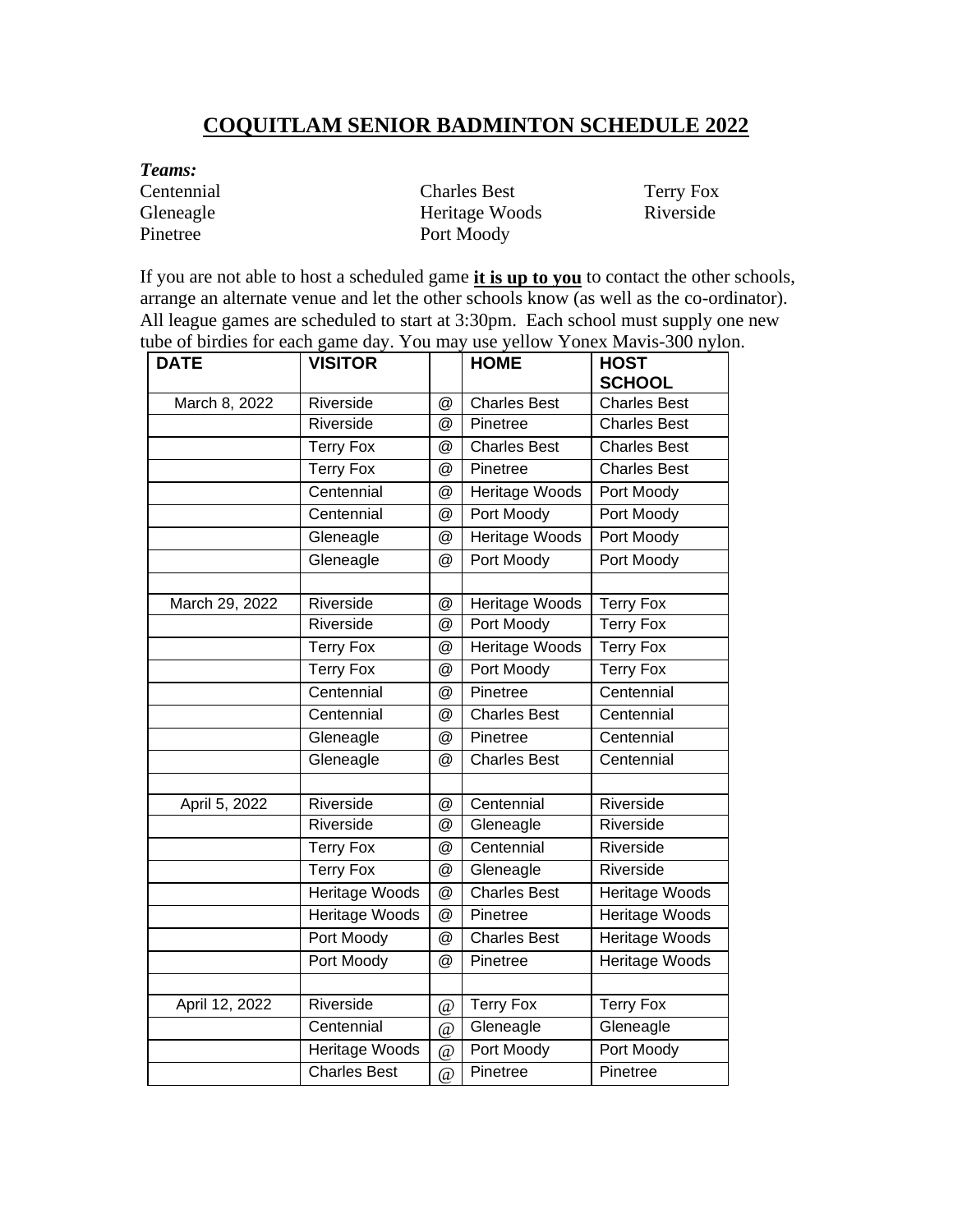## **COQUITLAM SENIOR BADMINTON SCHEDULE 2022**

*Teams:* Centennial Charles Best Terry Fox Gleneagle Heritage Woods Riverside Pinetree Port Moody

If you are not able to host a scheduled game **it is up to you** to contact the other schools, arrange an alternate venue and let the other schools know (as well as the co-ordinator). All league games are scheduled to start at 3:30pm. Each school must supply one new tube of birdies for each game day. You may use yellow Yonex Mavis-300 nylon.

| <b>DATE</b>    | <b>VISITOR</b>        |                | <b>HOME</b>           | <b>HOST</b><br><b>SCHOOL</b> |
|----------------|-----------------------|----------------|-----------------------|------------------------------|
| March 8, 2022  | Riverside             | $^{\circledR}$ | <b>Charles Best</b>   | <b>Charles Best</b>          |
|                | Riverside             | $^{\circledR}$ | Pinetree              | <b>Charles Best</b>          |
|                | <b>Terry Fox</b>      | @              | <b>Charles Best</b>   | <b>Charles Best</b>          |
|                | <b>Terry Fox</b>      | @              | Pinetree              | <b>Charles Best</b>          |
|                | Centennial            | @              | Heritage Woods        | Port Moody                   |
|                | Centennial            | @              | Port Moody            | Port Moody                   |
|                | Gleneagle             | @              | <b>Heritage Woods</b> | Port Moody                   |
|                | Gleneagle             | @              | Port Moody            | Port Moody                   |
| March 29, 2022 | Riverside             | @              | <b>Heritage Woods</b> | <b>Terry Fox</b>             |
|                | Riverside             | @              | Port Moody            | <b>Terry Fox</b>             |
|                | <b>Terry Fox</b>      | @              | <b>Heritage Woods</b> | <b>Terry Fox</b>             |
|                | <b>Terry Fox</b>      | @              | Port Moody            | <b>Terry Fox</b>             |
|                | Centennial            | @              | Pinetree              | Centennial                   |
|                | Centennial            | @              | <b>Charles Best</b>   | Centennial                   |
|                | Gleneagle             | $^{\circledR}$ | Pinetree              | Centennial                   |
|                | Gleneagle             | @              | <b>Charles Best</b>   | Centennial                   |
|                | Riverside             |                | Centennial            | Riverside                    |
| April 5, 2022  | Riverside             | @<br>@         | Gleneagle             | Riverside                    |
|                | <b>Terry Fox</b>      | @              | Centennial            | Riverside                    |
|                | <b>Terry Fox</b>      | @              | Gleneagle             | Riverside                    |
|                | Heritage Woods        | @              | <b>Charles Best</b>   | <b>Heritage Woods</b>        |
|                | <b>Heritage Woods</b> | $^{\circledR}$ | Pinetree              | Heritage Woods               |
|                | Port Moody            | @              | Charles Best          | <b>Heritage Woods</b>        |
|                | Port Moody            | @              | Pinetree              | <b>Heritage Woods</b>        |
|                |                       |                |                       |                              |
| April 12, 2022 | Riverside             | $\omega$       | <b>Terry Fox</b>      | <b>Terry Fox</b>             |
|                | Centennial            | $\omega$       | Gleneagle             | Gleneagle                    |
|                | Heritage Woods        | $\overline{a}$ | <b>Port Moody</b>     | Port Moody                   |
|                | <b>Charles Best</b>   | $\omega$       | Pinetree              | Pinetree                     |